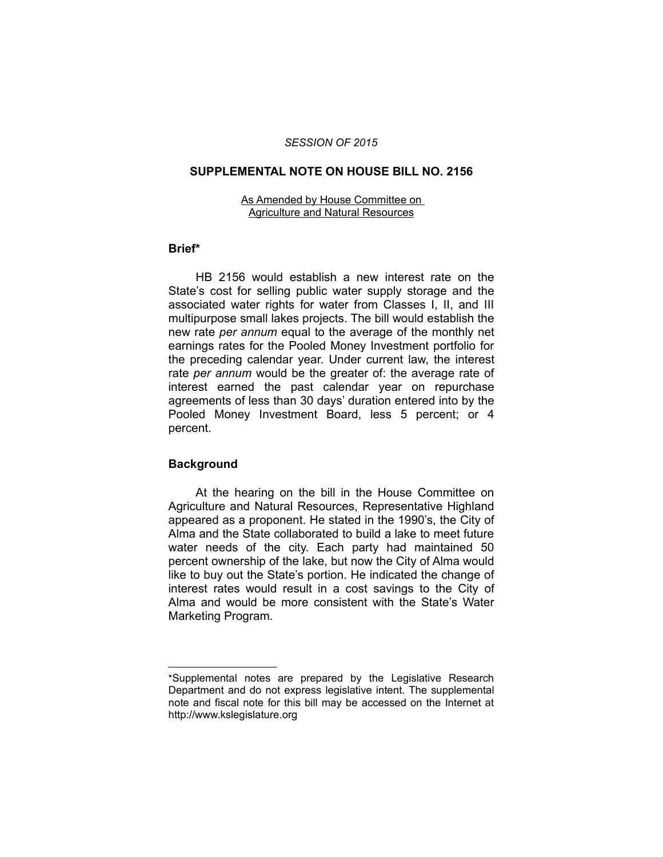## *SESSION OF 2015*

## **SUPPLEMENTAL NOTE ON HOUSE BILL NO. 2156**

#### As Amended by House Committee on Agriculture and Natural Resources

## **Brief\***

HB 2156 would establish a new interest rate on the State's cost for selling public water supply storage and the associated water rights for water from Classes I, II, and III multipurpose small lakes projects. The bill would establish the new rate *per annum* equal to the average of the monthly net earnings rates for the Pooled Money Investment portfolio for the preceding calendar year. Under current law, the interest rate *per annum* would be the greater of: the average rate of interest earned the past calendar year on repurchase agreements of less than 30 days' duration entered into by the Pooled Money Investment Board, less 5 percent; or 4 percent.

# **Background**

 $\overline{\phantom{a}}$  , where  $\overline{\phantom{a}}$ 

At the hearing on the bill in the House Committee on Agriculture and Natural Resources, Representative Highland appeared as a proponent. He stated in the 1990's, the City of Alma and the State collaborated to build a lake to meet future water needs of the city. Each party had maintained 50 percent ownership of the lake, but now the City of Alma would like to buy out the State's portion. He indicated the change of interest rates would result in a cost savings to the City of Alma and would be more consistent with the State's Water Marketing Program.

<sup>\*</sup>Supplemental notes are prepared by the Legislative Research Department and do not express legislative intent. The supplemental note and fiscal note for this bill may be accessed on the Internet at http://www.kslegislature.org